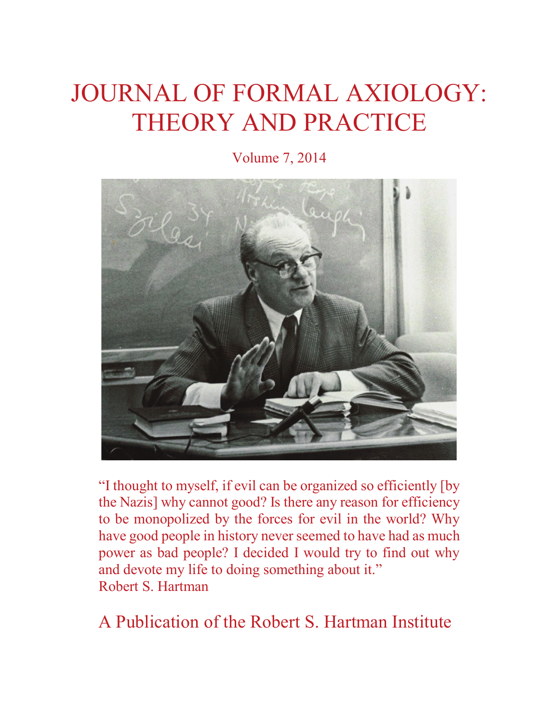# JOURNAL OF FORMAL AXIOLOGY: THEORY AND PRACTICE

Volume 7, 2014



"I thought to myself, if evil can be organized so efficiently [by the Nazis] why cannot good? Is there any reason for efficiency to be monopolized by the forces for evil in the world? Why have good people in history never seemed to have had as much power as bad people? I decided I would try to find out why and devote my life to doing something about it." Robert S. Hartman

A Publication of the Robert S. Hartman Institute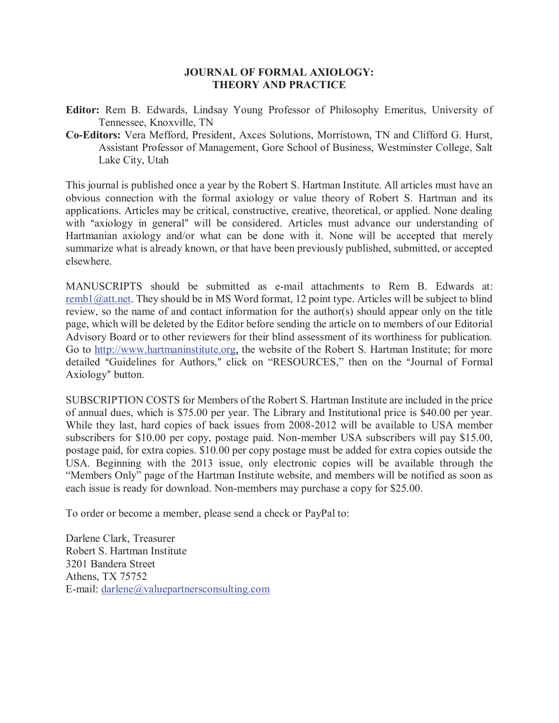# **JOURNAL OF FORMAL AXIOLOGY: THEORY AND PRACTICE**

- **Editor:** Rem B. Edwards, Lindsay Young Professor of Philosophy Emeritus, University of Tennessee, Knoxville, TN
- **Co-Editors:** Vera Mefford, President, Axces Solutions, Morristown, TN and Clifford G. Hurst, Assistant Professor of Management, Gore School of Business, Westminster College, Salt Lake City, Utah

This journal is published once a year by the Robert S. Hartman Institute. All articles must have an obvious connection with the formal axiology or value theory of Robert S. Hartman and its applications. Articles may be critical, constructive, creative, theoretical, or applied. None dealing with "axiology in general" will be considered. Articles must advance our understanding of Hartmanian axiology and/or what can be done with it. None will be accepted that merely summarize what is already known, or that have been previously published, submitted, or accepted elsewhere.

MANUSCRIPTS should be submitted as e-mail attachments to Rem B. Edwards at: remb1@att.net. They should be in MS Word format, 12 point type. Articles will be subject to blind review, so the name of and contact information for the author(s) should appear only on the title page, which will be deleted by the Editor before sending the article on to members of our Editorial Advisory Board or to other reviewers for their blind assessment of its worthiness for publication. Go to http://www.hartmaninstitute.org, the website of the Robert S. Hartman Institute; for more detailed "Guidelines for Authors," click on "RESOURCES," then on the "Journal of Formal Axiology" button.

SUBSCRIPTION COSTS for Members of the Robert S. Hartman Institute are included in the price of annual dues, which is \$75.00 per year. The Library and Institutional price is \$40.00 per year. While they last, hard copies of back issues from 2008-2012 will be available to USA member subscribers for \$10.00 per copy, postage paid. Non-member USA subscribers will pay \$15.00, postage paid, for extra copies. \$10.00 per copy postage must be added for extra copies outside the USA. Beginning with the 2013 issue, only electronic copies will be available through the "Members Only" page of the Hartman Institute website, and members will be notified as soon as each issue is ready for download. Non-members may purchase a copy for \$25.00.

To order or become a member, please send a check or PayPal to:

Darlene Clark, Treasurer Robert S. Hartman Institute 3201 Bandera Street Athens, TX 75752 E-mail: darlene@valuepartnersconsulting.com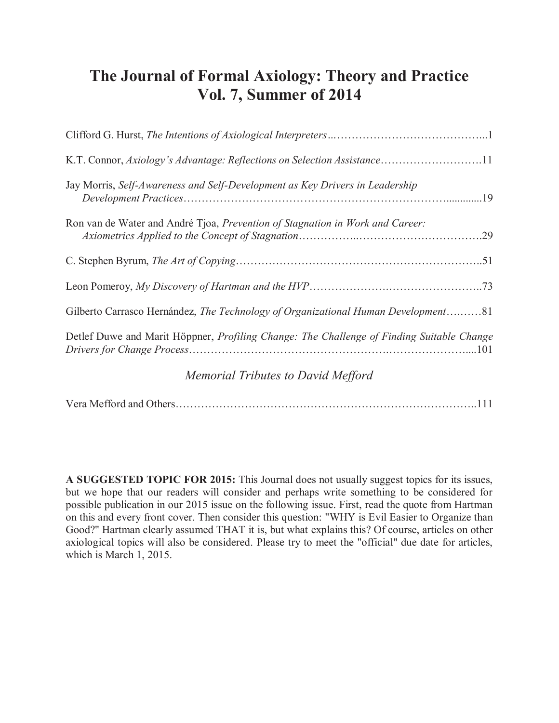# **The Journal of Formal Axiology: Theory and Practice Vol. 7, Summer of 2014**

| K.T. Connor, Axiology's Advantage: Reflections on Selection Assistance11                  |
|-------------------------------------------------------------------------------------------|
| Jay Morris, Self-Awareness and Self-Development as Key Drivers in Leadership              |
| Ron van de Water and André Tjoa, Prevention of Stagnation in Work and Career:             |
|                                                                                           |
|                                                                                           |
| Gilberto Carrasco Hernández, The Technology of Organizational Human Development81         |
| Detlef Duwe and Marit Höppner, Profiling Change: The Challenge of Finding Suitable Change |
| Memorial Tributes to David Mefford                                                        |
|                                                                                           |

**A SUGGESTED TOPIC FOR 2015:** This Journal does not usually suggest topics for its issues, but we hope that our readers will consider and perhaps write something to be considered for possible publication in our 2015 issue on the following issue. First, read the quote from Hartman on this and every front cover. Then consider this question: "WHY is Evil Easier to Organize than Good?" Hartman clearly assumed THAT it is, but what explains this? Of course, articles on other axiological topics will also be considered. Please try to meet the "official" due date for articles, which is March 1, 2015.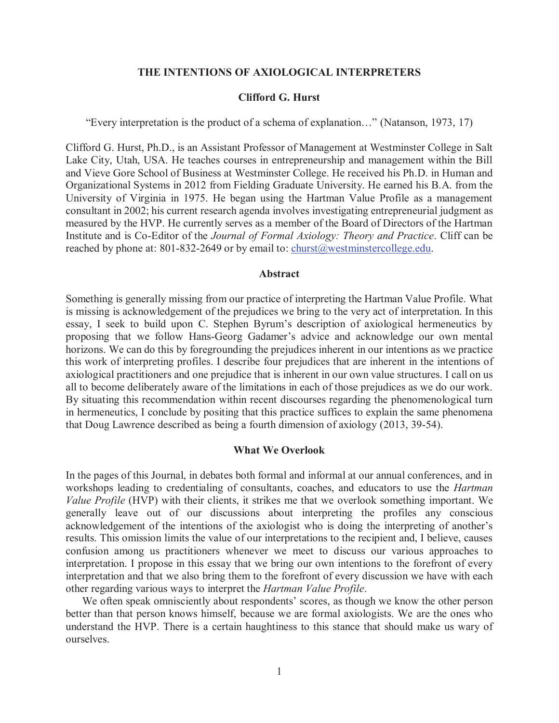# **THE INTENTIONS OF AXIOLOGICAL INTERPRETERS**

# **Clifford G. Hurst**

"Every interpretation is the product of a schema of explanation…" (Natanson, 1973, 17)

Clifford G. Hurst, Ph.D., is an Assistant Professor of Management at Westminster College in Salt Lake City, Utah, USA. He teaches courses in entrepreneurship and management within the Bill and Vieve Gore School of Business at Westminster College. He received his Ph.D. in Human and Organizational Systems in 2012 from Fielding Graduate University. He earned his B.A. from the University of Virginia in 1975. He began using the Hartman Value Profile as a management consultant in 2002; his current research agenda involves investigating entrepreneurial judgment as measured by the HVP. He currently serves as a member of the Board of Directors of the Hartman Institute and is Co-Editor of the *Journal of Formal Axiology: Theory and Practice*. Cliff can be reached by phone at: 801-832-2649 or by email to: churst@westminstercollege.edu.

#### **Abstract**

Something is generally missing from our practice of interpreting the Hartman Value Profile. What is missing is acknowledgement of the prejudices we bring to the very act of interpretation. In this essay, I seek to build upon C. Stephen Byrum's description of axiological hermeneutics by proposing that we follow Hans-Georg Gadamer's advice and acknowledge our own mental horizons. We can do this by foregrounding the prejudices inherent in our intentions as we practice this work of interpreting profiles. I describe four prejudices that are inherent in the intentions of axiological practitioners and one prejudice that is inherent in our own value structures. I call on us all to become deliberately aware of the limitations in each of those prejudices as we do our work. By situating this recommendation within recent discourses regarding the phenomenological turn in hermeneutics, I conclude by positing that this practice suffices to explain the same phenomena that Doug Lawrence described as being a fourth dimension of axiology (2013, 39-54).

#### **What We Overlook**

In the pages of this Journal, in debates both formal and informal at our annual conferences, and in workshops leading to credentialing of consultants, coaches, and educators to use the *Hartman Value Profile* (HVP) with their clients, it strikes me that we overlook something important. We generally leave out of our discussions about interpreting the profiles any conscious acknowledgement of the intentions of the axiologist who is doing the interpreting of another's results. This omission limits the value of our interpretations to the recipient and, I believe, causes confusion among us practitioners whenever we meet to discuss our various approaches to interpretation. I propose in this essay that we bring our own intentions to the forefront of every interpretation and that we also bring them to the forefront of every discussion we have with each other regarding various ways to interpret the *Hartman Value Profile*.

 We often speak omnisciently about respondents' scores, as though we know the other person better than that person knows himself, because we are formal axiologists. We are the ones who understand the HVP. There is a certain haughtiness to this stance that should make us wary of ourselves.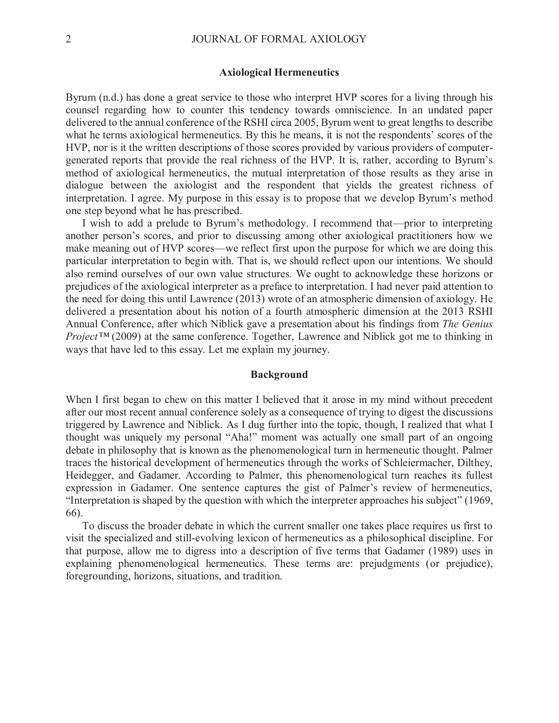# **Axiological Hermeneutics**

Byrum (n.d.) has done a great service to those who interpret HVP scores for a living through his counsel regarding how to counter this tendency towards omniscience. In an undated paper delivered to the annual conference of the RSHI circa 2005, Byrum went to great lengths to describe what he terms axiological hermeneutics. By this he means, it is not the respondents' scores of the HVP, nor is it the written descriptions of those scores provided by various providers of computergenerated reports that provide the real richness of the HVP. It is, rather, according to Byrum's method of axiological hermeneutics, the mutual interpretation of those results as they arise in dialogue between the axiologist and the respondent that yields the greatest richness of interpretation. I agree. My purpose in this essay is to propose that we develop Byrum's method one step beyond what he has prescribed.

 I wish to add a prelude to Byrum's methodology. I recommend that—prior to interpreting another person's scores, and prior to discussing among other axiological practitioners how we make meaning out of HVP scores—we reflect first upon the purpose for which we are doing this particular interpretation to begin with. That is, we should reflect upon our intentions. We should also remind ourselves of our own value structures. We ought to acknowledge these horizons or prejudices of the axiological interpreter as a preface to interpretation. I had never paid attention to the need for doing this until Lawrence (2013) wrote of an atmospheric dimension of axiology. He delivered a presentation about his notion of a fourth atmospheric dimension at the 2013 RSHI Annual Conference, after which Niblick gave a presentation about his findings from *The Genius Project*<sup>™</sup> (2009) at the same conference. Together, Lawrence and Niblick got me to thinking in ways that have led to this essay. Let me explain my journey.

#### **Background**

When I first began to chew on this matter I believed that it arose in my mind without precedent after our most recent annual conference solely as a consequence of trying to digest the discussions triggered by Lawrence and Niblick. As I dug further into the topic, though, I realized that what I thought was uniquely my personal "Aha!" moment was actually one small part of an ongoing debate in philosophy that is known as the phenomenological turn in hermeneutic thought. Palmer traces the historical development of hermeneutics through the works of Schleiermacher, Dilthey, Heidegger, and Gadamer. According to Palmer, this phenomenological turn reaches its fullest expression in Gadamer. One sentence captures the gist of Palmer's review of hermeneutics, "Interpretation is shaped by the question with which the interpreter approaches his subject" (1969, 66).

 To discuss the broader debate in which the current smaller one takes place requires us first to visit the specialized and still-evolving lexicon of hermeneutics as a philosophical discipline. For that purpose, allow me to digress into a description of five terms that Gadamer (1989) uses in explaining phenomenological hermeneutics. These terms are: prejudgments (or prejudice), foregrounding, horizons, situations, and tradition.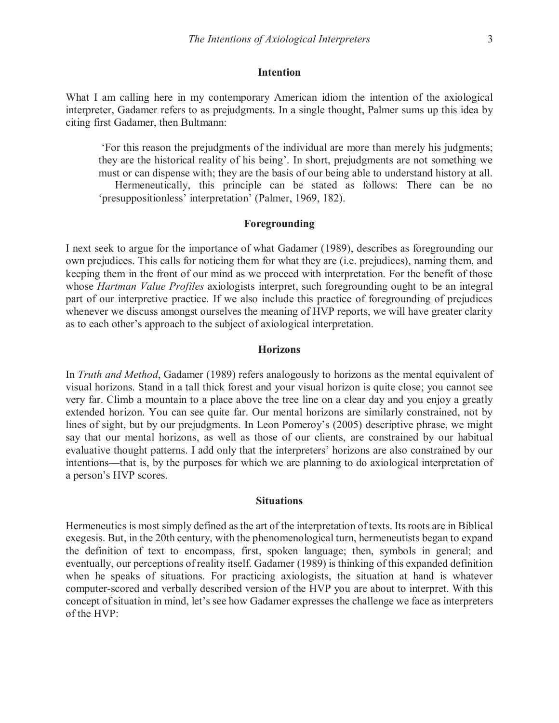What I am calling here in my contemporary American idiom the intention of the axiological interpreter, Gadamer refers to as prejudgments. In a single thought, Palmer sums up this idea by citing first Gadamer, then Bultmann:

'For this reason the prejudgments of the individual are more than merely his judgments; they are the historical reality of his being'. In short, prejudgments are not something we must or can dispense with; they are the basis of our being able to understand history at all. Hermeneutically, this principle can be stated as follows: There can be no 'presuppositionless' interpretation' (Palmer, 1969, 182).

# **Foregrounding**

I next seek to argue for the importance of what Gadamer (1989), describes as foregrounding our own prejudices. This calls for noticing them for what they are (i.e. prejudices), naming them, and keeping them in the front of our mind as we proceed with interpretation. For the benefit of those whose *Hartman Value Profiles* axiologists interpret, such foregrounding ought to be an integral part of our interpretive practice. If we also include this practice of foregrounding of prejudices whenever we discuss amongst ourselves the meaning of HVP reports, we will have greater clarity as to each other's approach to the subject of axiological interpretation.

#### **Horizons**

In *Truth and Method*, Gadamer (1989) refers analogously to horizons as the mental equivalent of visual horizons. Stand in a tall thick forest and your visual horizon is quite close; you cannot see very far. Climb a mountain to a place above the tree line on a clear day and you enjoy a greatly extended horizon. You can see quite far. Our mental horizons are similarly constrained, not by lines of sight, but by our prejudgments. In Leon Pomeroy's (2005) descriptive phrase, we might say that our mental horizons, as well as those of our clients, are constrained by our habitual evaluative thought patterns. I add only that the interpreters' horizons are also constrained by our intentions—that is, by the purposes for which we are planning to do axiological interpretation of a person's HVP scores.

#### **Situations**

Hermeneutics is most simply defined as the art of the interpretation of texts. Its roots are in Biblical exegesis. But, in the 20th century, with the phenomenological turn, hermeneutists began to expand the definition of text to encompass, first, spoken language; then, symbols in general; and eventually, our perceptions of reality itself. Gadamer (1989) is thinking of this expanded definition when he speaks of situations. For practicing axiologists, the situation at hand is whatever computer-scored and verbally described version of the HVP you are about to interpret. With this concept of situation in mind, let's see how Gadamer expresses the challenge we face as interpreters of the HVP: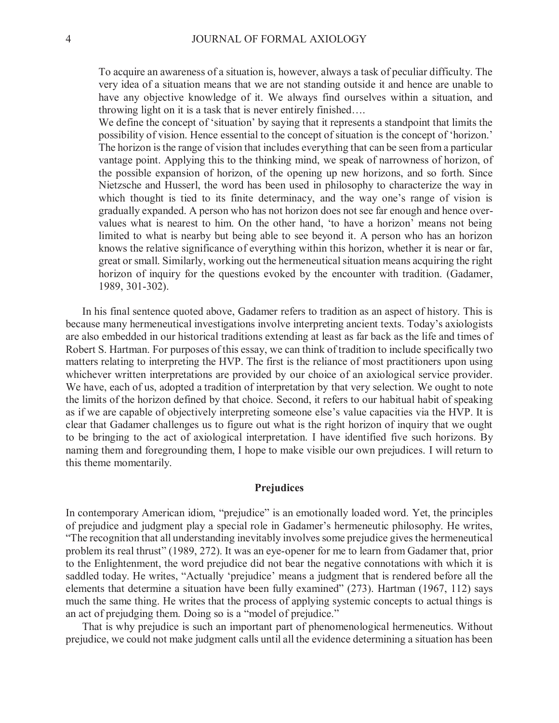To acquire an awareness of a situation is, however, always a task of peculiar difficulty. The very idea of a situation means that we are not standing outside it and hence are unable to have any objective knowledge of it. We always find ourselves within a situation, and throwing light on it is a task that is never entirely finished….

We define the concept of 'situation' by saying that it represents a standpoint that limits the possibility of vision. Hence essential to the concept of situation is the concept of 'horizon.' The horizon is the range of vision that includes everything that can be seen from a particular vantage point. Applying this to the thinking mind, we speak of narrowness of horizon, of the possible expansion of horizon, of the opening up new horizons, and so forth. Since Nietzsche and Husserl, the word has been used in philosophy to characterize the way in which thought is tied to its finite determinacy, and the way one's range of vision is gradually expanded. A person who has not horizon does not see far enough and hence overvalues what is nearest to him. On the other hand, 'to have a horizon' means not being limited to what is nearby but being able to see beyond it. A person who has an horizon knows the relative significance of everything within this horizon, whether it is near or far, great or small. Similarly, working out the hermeneutical situation means acquiring the right horizon of inquiry for the questions evoked by the encounter with tradition. (Gadamer, 1989, 301-302).

 In his final sentence quoted above, Gadamer refers to tradition as an aspect of history. This is because many hermeneutical investigations involve interpreting ancient texts. Today's axiologists are also embedded in our historical traditions extending at least as far back as the life and times of Robert S. Hartman. For purposes of this essay, we can think of tradition to include specifically two matters relating to interpreting the HVP. The first is the reliance of most practitioners upon using whichever written interpretations are provided by our choice of an axiological service provider. We have, each of us, adopted a tradition of interpretation by that very selection. We ought to note the limits of the horizon defined by that choice. Second, it refers to our habitual habit of speaking as if we are capable of objectively interpreting someone else's value capacities via the HVP. It is clear that Gadamer challenges us to figure out what is the right horizon of inquiry that we ought to be bringing to the act of axiological interpretation. I have identified five such horizons. By naming them and foregrounding them, I hope to make visible our own prejudices. I will return to this theme momentarily.

#### **Prejudices**

In contemporary American idiom, "prejudice" is an emotionally loaded word. Yet, the principles of prejudice and judgment play a special role in Gadamer's hermeneutic philosophy. He writes, "The recognition that all understanding inevitably involves some prejudice gives the hermeneutical problem its real thrust" (1989, 272). It was an eye-opener for me to learn from Gadamer that, prior to the Enlightenment, the word prejudice did not bear the negative connotations with which it is saddled today. He writes, "Actually 'prejudice' means a judgment that is rendered before all the elements that determine a situation have been fully examined" (273). Hartman (1967, 112) says much the same thing. He writes that the process of applying systemic concepts to actual things is an act of prejudging them. Doing so is a "model of prejudice."

 That is why prejudice is such an important part of phenomenological hermeneutics. Without prejudice, we could not make judgment calls until all the evidence determining a situation has been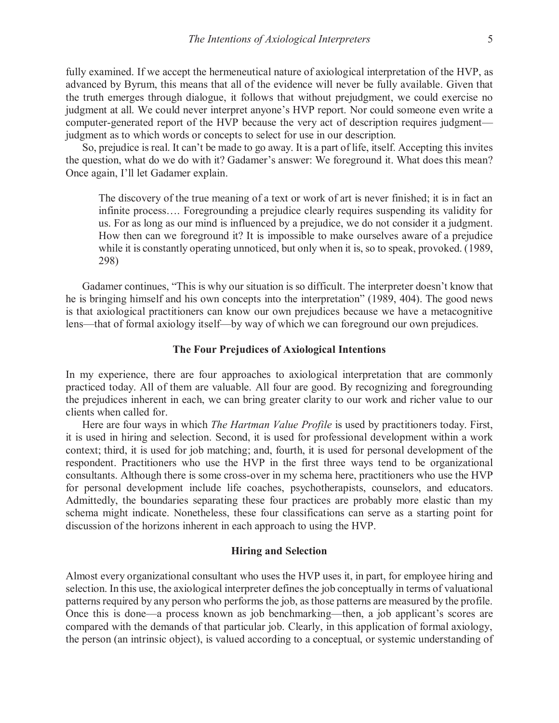fully examined. If we accept the hermeneutical nature of axiological interpretation of the HVP, as advanced by Byrum, this means that all of the evidence will never be fully available. Given that the truth emerges through dialogue, it follows that without prejudgment, we could exercise no judgment at all. We could never interpret anyone's HVP report. Nor could someone even write a computer-generated report of the HVP because the very act of description requires judgment judgment as to which words or concepts to select for use in our description.

 So, prejudice is real. It can't be made to go away. It is a part of life, itself. Accepting this invites the question, what do we do with it? Gadamer's answer: We foreground it. What does this mean? Once again, I'll let Gadamer explain.

The discovery of the true meaning of a text or work of art is never finished; it is in fact an infinite process…. Foregrounding a prejudice clearly requires suspending its validity for us. For as long as our mind is influenced by a prejudice, we do not consider it a judgment. How then can we foreground it? It is impossible to make ourselves aware of a prejudice while it is constantly operating unnoticed, but only when it is, so to speak, provoked. (1989, 298)

Gadamer continues, "This is why our situation is so difficult. The interpreter doesn't know that he is bringing himself and his own concepts into the interpretation" (1989, 404). The good news is that axiological practitioners can know our own prejudices because we have a metacognitive lens—that of formal axiology itself—by way of which we can foreground our own prejudices.

#### **The Four Prejudices of Axiological Intentions**

In my experience, there are four approaches to axiological interpretation that are commonly practiced today. All of them are valuable. All four are good. By recognizing and foregrounding the prejudices inherent in each, we can bring greater clarity to our work and richer value to our clients when called for.

 Here are four ways in which *The Hartman Value Profile* is used by practitioners today. First, it is used in hiring and selection. Second, it is used for professional development within a work context; third, it is used for job matching; and, fourth, it is used for personal development of the respondent. Practitioners who use the HVP in the first three ways tend to be organizational consultants. Although there is some cross-over in my schema here, practitioners who use the HVP for personal development include life coaches, psychotherapists, counselors, and educators. Admittedly, the boundaries separating these four practices are probably more elastic than my schema might indicate. Nonetheless, these four classifications can serve as a starting point for discussion of the horizons inherent in each approach to using the HVP.

#### **Hiring and Selection**

Almost every organizational consultant who uses the HVP uses it, in part, for employee hiring and selection. In this use, the axiological interpreter defines the job conceptually in terms of valuational patterns required by any person who performs the job, as those patterns are measured by the profile. Once this is done—a process known as job benchmarking—then, a job applicant's scores are compared with the demands of that particular job. Clearly, in this application of formal axiology, the person (an intrinsic object), is valued according to a conceptual, or systemic understanding of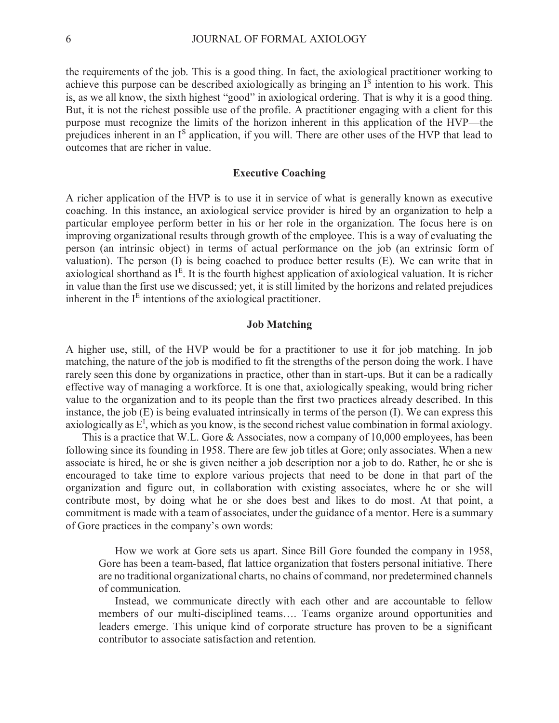the requirements of the job. This is a good thing. In fact, the axiological practitioner working to achieve this purpose can be described axiologically as bringing an I<sup>S</sup> intention to his work. This is, as we all know, the sixth highest "good" in axiological ordering. That is why it is a good thing. But, it is not the richest possible use of the profile. A practitioner engaging with a client for this purpose must recognize the limits of the horizon inherent in this application of the HVP—the prejudices inherent in an I<sup>S</sup> application, if you will. There are other uses of the HVP that lead to outcomes that are richer in value.

# **Executive Coaching**

A richer application of the HVP is to use it in service of what is generally known as executive coaching. In this instance, an axiological service provider is hired by an organization to help a particular employee perform better in his or her role in the organization. The focus here is on improving organizational results through growth of the employee. This is a way of evaluating the person (an intrinsic object) in terms of actual performance on the job (an extrinsic form of valuation). The person (I) is being coached to produce better results (E). We can write that in axiological shorthand as  $I^E$ . It is the fourth highest application of axiological valuation. It is richer in value than the first use we discussed; yet, it is still limited by the horizons and related prejudices inherent in the  $I<sup>E</sup>$  intentions of the axiological practitioner.

#### **Job Matching**

A higher use, still, of the HVP would be for a practitioner to use it for job matching. In job matching, the nature of the job is modified to fit the strengths of the person doing the work. I have rarely seen this done by organizations in practice, other than in start-ups. But it can be a radically effective way of managing a workforce. It is one that, axiologically speaking, would bring richer value to the organization and to its people than the first two practices already described. In this instance, the job (E) is being evaluated intrinsically in terms of the person (I). We can express this axiologically as  $E<sup>I</sup>$ , which as you know, is the second richest value combination in formal axiology.

This is a practice that W.L. Gore & Associates, now a company of 10,000 employees, has been following since its founding in 1958. There are few job titles at Gore; only associates. When a new associate is hired, he or she is given neither a job description nor a job to do. Rather, he or she is encouraged to take time to explore various projects that need to be done in that part of the organization and figure out, in collaboration with existing associates, where he or she will contribute most, by doing what he or she does best and likes to do most. At that point, a commitment is made with a team of associates, under the guidance of a mentor. Here is a summary of Gore practices in the company's own words:

 How we work at Gore sets us apart. Since Bill Gore founded the company in 1958, Gore has been a team-based, flat lattice organization that fosters personal initiative. There are no traditional organizational charts, no chains of command, nor predetermined channels of communication.

 Instead, we communicate directly with each other and are accountable to fellow members of our multi-disciplined teams…. Teams organize around opportunities and leaders emerge. This unique kind of corporate structure has proven to be a significant contributor to associate satisfaction and retention.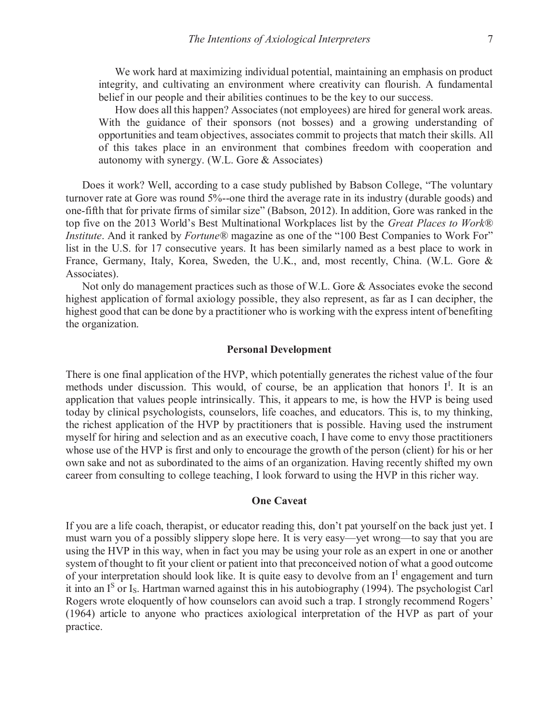We work hard at maximizing individual potential, maintaining an emphasis on product integrity, and cultivating an environment where creativity can flourish. A fundamental belief in our people and their abilities continues to be the key to our success.

 How does all this happen? Associates (not employees) are hired for general work areas. With the guidance of their sponsors (not bosses) and a growing understanding of opportunities and team objectives, associates commit to projects that match their skills. All of this takes place in an environment that combines freedom with cooperation and autonomy with synergy. (W.L. Gore & Associates)

 Does it work? Well, according to a case study published by Babson College, "The voluntary turnover rate at Gore was round 5%--one third the average rate in its industry (durable goods) and one-fifth that for private firms of similar size" (Babson, 2012). In addition, Gore was ranked in the top five on the 2013 World's Best Multinational Workplaces list by the *Great Places to Work® Institute*. And it ranked by *Fortune®* magazine as one of the "100 Best Companies to Work For" list in the U.S. for 17 consecutive years. It has been similarly named as a best place to work in France, Germany, Italy, Korea, Sweden, the U.K., and, most recently, China. (W.L. Gore & Associates).

 Not only do management practices such as those of W.L. Gore & Associates evoke the second highest application of formal axiology possible, they also represent, as far as I can decipher, the highest good that can be done by a practitioner who is working with the express intent of benefiting the organization.

#### **Personal Development**

There is one final application of the HVP, which potentially generates the richest value of the four methods under discussion. This would, of course, be an application that honors  $I<sup>I</sup>$ . It is an application that values people intrinsically. This, it appears to me, is how the HVP is being used today by clinical psychologists, counselors, life coaches, and educators. This is, to my thinking, the richest application of the HVP by practitioners that is possible. Having used the instrument myself for hiring and selection and as an executive coach, I have come to envy those practitioners whose use of the HVP is first and only to encourage the growth of the person (client) for his or her own sake and not as subordinated to the aims of an organization. Having recently shifted my own career from consulting to college teaching, I look forward to using the HVP in this richer way.

#### **One Caveat**

If you are a life coach, therapist, or educator reading this, don't pat yourself on the back just yet. I must warn you of a possibly slippery slope here. It is very easy—yet wrong—to say that you are using the HVP in this way, when in fact you may be using your role as an expert in one or another system of thought to fit your client or patient into that preconceived notion of what a good outcome of your interpretation should look like. It is quite easy to devolve from an I<sup>I</sup> engagement and turn it into an I<sup>S</sup> or I<sub>S</sub>. Hartman warned against this in his autobiography (1994). The psychologist Carl Rogers wrote eloquently of how counselors can avoid such a trap. I strongly recommend Rogers' (1964) article to anyone who practices axiological interpretation of the HVP as part of your practice.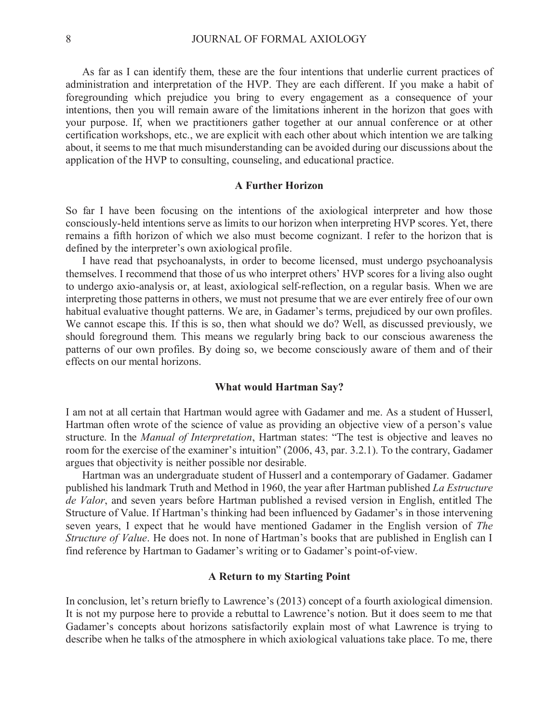As far as I can identify them, these are the four intentions that underlie current practices of administration and interpretation of the HVP. They are each different. If you make a habit of foregrounding which prejudice you bring to every engagement as a consequence of your intentions, then you will remain aware of the limitations inherent in the horizon that goes with your purpose. If, when we practitioners gather together at our annual conference or at other certification workshops, etc., we are explicit with each other about which intention we are talking about, it seems to me that much misunderstanding can be avoided during our discussions about the application of the HVP to consulting, counseling, and educational practice.

#### **A Further Horizon**

So far I have been focusing on the intentions of the axiological interpreter and how those consciously-held intentions serve as limits to our horizon when interpreting HVP scores. Yet, there remains a fifth horizon of which we also must become cognizant. I refer to the horizon that is defined by the interpreter's own axiological profile.

 I have read that psychoanalysts, in order to become licensed, must undergo psychoanalysis themselves. I recommend that those of us who interpret others' HVP scores for a living also ought to undergo axio-analysis or, at least, axiological self-reflection, on a regular basis. When we are interpreting those patterns in others, we must not presume that we are ever entirely free of our own habitual evaluative thought patterns. We are, in Gadamer's terms, prejudiced by our own profiles. We cannot escape this. If this is so, then what should we do? Well, as discussed previously, we should foreground them. This means we regularly bring back to our conscious awareness the patterns of our own profiles. By doing so, we become consciously aware of them and of their effects on our mental horizons.

#### **What would Hartman Say?**

I am not at all certain that Hartman would agree with Gadamer and me. As a student of Husserl, Hartman often wrote of the science of value as providing an objective view of a person's value structure. In the *Manual of Interpretation*, Hartman states: "The test is objective and leaves no room for the exercise of the examiner's intuition" (2006, 43, par. 3.2.1). To the contrary, Gadamer argues that objectivity is neither possible nor desirable.

 Hartman was an undergraduate student of Husserl and a contemporary of Gadamer. Gadamer published his landmark Truth and Method in 1960, the year after Hartman published *La Estructure de Valor*, and seven years before Hartman published a revised version in English, entitled The Structure of Value. If Hartman's thinking had been influenced by Gadamer's in those intervening seven years, I expect that he would have mentioned Gadamer in the English version of *The Structure of Value*. He does not. In none of Hartman's books that are published in English can I find reference by Hartman to Gadamer's writing or to Gadamer's point-of-view.

# **A Return to my Starting Point**

In conclusion, let's return briefly to Lawrence's (2013) concept of a fourth axiological dimension. It is not my purpose here to provide a rebuttal to Lawrence's notion. But it does seem to me that Gadamer's concepts about horizons satisfactorily explain most of what Lawrence is trying to describe when he talks of the atmosphere in which axiological valuations take place. To me, there